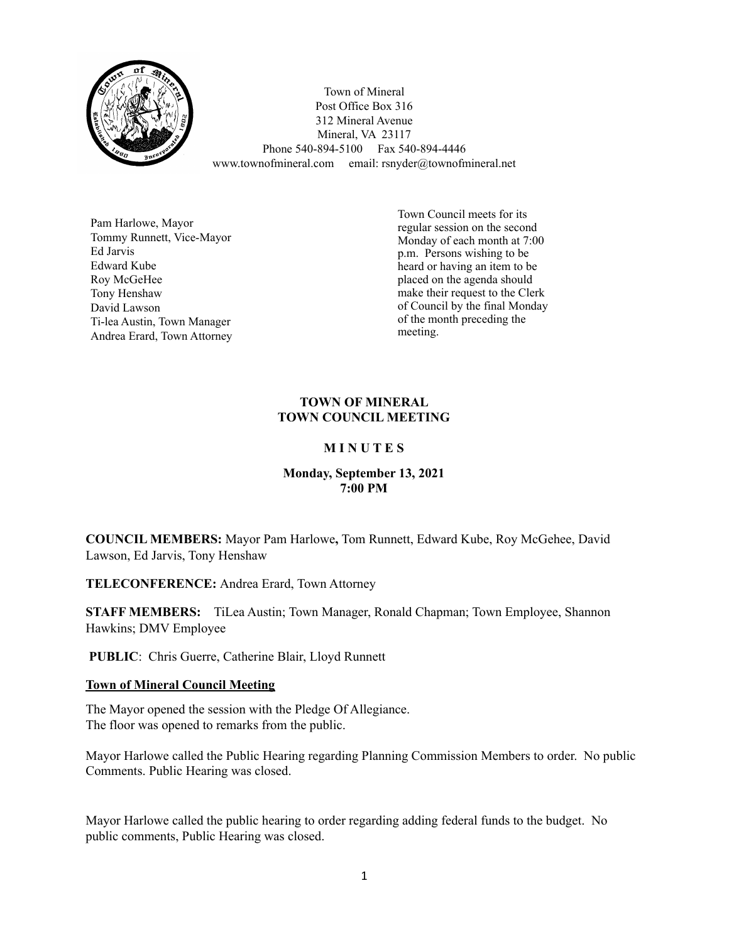

Town of Mineral Post Office Box 316 312 Mineral Avenue Mineral, VA 23117 Phone 540-894-5100 Fax 540-894-4446 www.townofmineral.com email: rsnyder@townofmineral.net

Pam Harlowe, Mayor Tommy Runnett, Vice-Mayor Ed Jarvis Edward Kube Roy McGeHee Tony Henshaw David Lawson Ti-lea Austin, Town Manager Andrea Erard, Town Attorney Town Council meets for its regular session on the second Monday of each month at 7:00 p.m. Persons wishing to be heard or having an item to be placed on the agenda should make their request to the Clerk of Council by the final Monday of the month preceding the meeting.

## **TOWN OF MINERAL TOWN COUNCIL MEETING**

## **M I N U T E S**

## **Monday, September 13, 2021 7:00 PM**

**COUNCIL MEMBERS:** Mayor Pam Harlowe**,** Tom Runnett, Edward Kube, Roy McGehee, David Lawson, Ed Jarvis, Tony Henshaw

**TELECONFERENCE:** Andrea Erard, Town Attorney

**STAFF MEMBERS:** TiLea Austin; Town Manager, Ronald Chapman; Town Employee, Shannon Hawkins; DMV Employee

**PUBLIC**: Chris Guerre, Catherine Blair, Lloyd Runnett

## **Town of Mineral Council Meeting**

The Mayor opened the session with the Pledge Of Allegiance. The floor was opened to remarks from the public.

Mayor Harlowe called the Public Hearing regarding Planning Commission Members to order. No public Comments. Public Hearing was closed.

Mayor Harlowe called the public hearing to order regarding adding federal funds to the budget. No public comments, Public Hearing was closed.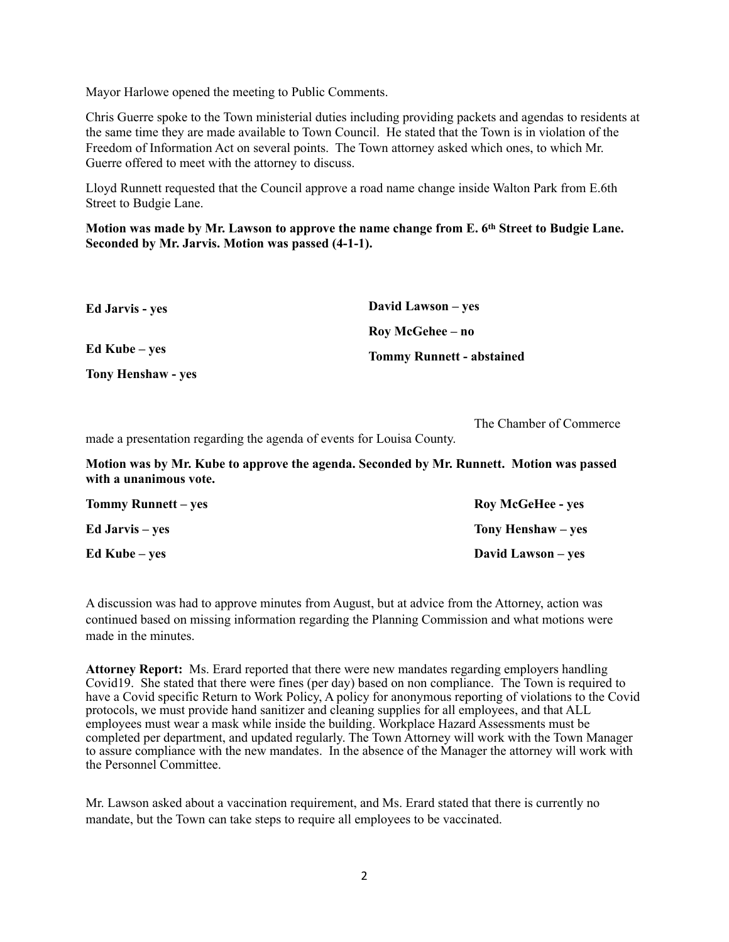Mayor Harlowe opened the meeting to Public Comments.

Chris Guerre spoke to the Town ministerial duties including providing packets and agendas to residents at the same time they are made available to Town Council. He stated that the Town is in violation of the Freedom of Information Act on several points. The Town attorney asked which ones, to which Mr. Guerre offered to meet with the attorney to discuss.

Lloyd Runnett requested that the Council approve a road name change inside Walton Park from E.6th Street to Budgie Lane.

**Motion was made by Mr. Lawson to approve the name change from E. 6th Street to Budgie Lane. Seconded by Mr. Jarvis. Motion was passed (4-1-1).**

| <b>Ed Jarvis - yes</b>    | David Lawson – yes               |
|---------------------------|----------------------------------|
|                           | Roy McGehee – no                 |
| Ed Kube – yes             | <b>Tommy Runnett - abstained</b> |
| <b>Tony Henshaw - yes</b> |                                  |

The Chamber of Commerce

made a presentation regarding the agenda of events for Louisa County.

**Motion was by Mr. Kube to approve the agenda. Seconded by Mr. Runnett. Motion was passed with a unanimous vote.**

| <b>Tommy Runnett</b> – yes | <b>Roy McGeHee - yes</b> |
|----------------------------|--------------------------|
| <b>Ed Jarvis</b> – yes     | Tony Henshaw – yes       |
| Ed Kube – yes              | David Lawson – yes       |

A discussion was had to approve minutes from August, but at advice from the Attorney, action was continued based on missing information regarding the Planning Commission and what motions were made in the minutes.

**Attorney Report:** Ms. Erard reported that there were new mandates regarding employers handling Covid19. She stated that there were fines (per day) based on non compliance. The Town is required to have a Covid specific Return to Work Policy, A policy for anonymous reporting of violations to the Covid protocols, we must provide hand sanitizer and cleaning supplies for all employees, and that ALL employees must wear a mask while inside the building. Workplace Hazard Assessments must be completed per department, and updated regularly. The Town Attorney will work with the Town Manager to assure compliance with the new mandates. In the absence of the Manager the attorney will work with the Personnel Committee.

Mr. Lawson asked about a vaccination requirement, and Ms. Erard stated that there is currently no mandate, but the Town can take steps to require all employees to be vaccinated.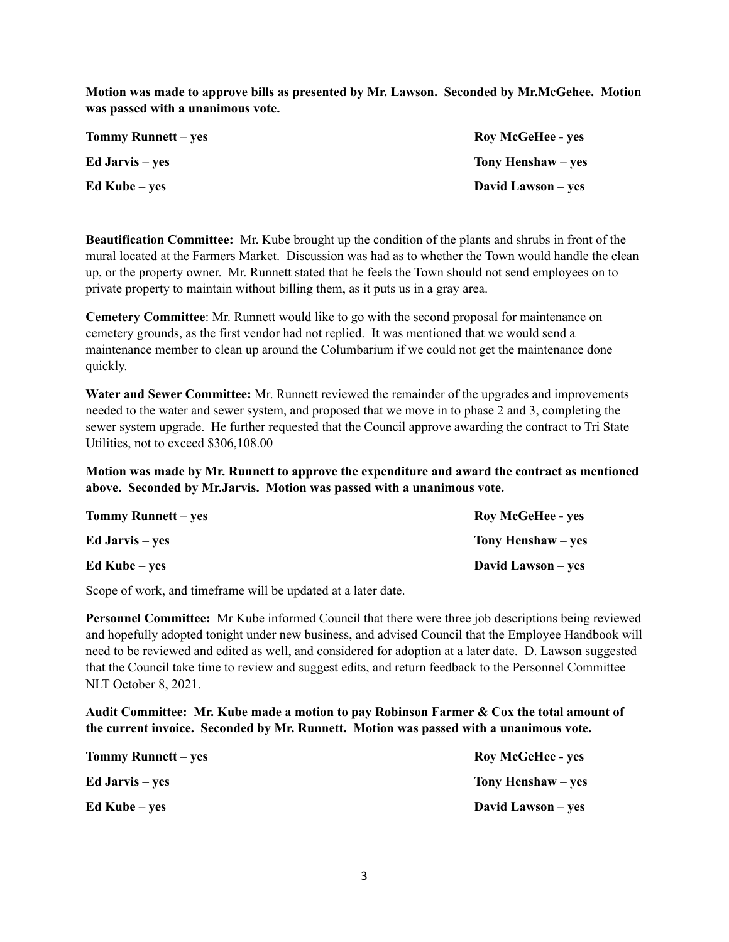**Motion was made to approve bills as presented by Mr. Lawson. Seconded by Mr.McGehee. Motion was passed with a unanimous vote.** 

| <b>Tommy Runnett</b> – yes | <b>Roy McGeHee - yes</b> |
|----------------------------|--------------------------|
| <b>Ed Jarvis</b> – yes     | Tony Henshaw – yes       |
| Ed Kube – yes              | David Lawson – yes       |

**Beautification Committee:** Mr. Kube brought up the condition of the plants and shrubs in front of the mural located at the Farmers Market. Discussion was had as to whether the Town would handle the clean up, or the property owner. Mr. Runnett stated that he feels the Town should not send employees on to private property to maintain without billing them, as it puts us in a gray area.

**Cemetery Committee**: Mr. Runnett would like to go with the second proposal for maintenance on cemetery grounds, as the first vendor had not replied. It was mentioned that we would send a maintenance member to clean up around the Columbarium if we could not get the maintenance done quickly.

**Water and Sewer Committee:** Mr. Runnett reviewed the remainder of the upgrades and improvements needed to the water and sewer system, and proposed that we move in to phase 2 and 3, completing the sewer system upgrade. He further requested that the Council approve awarding the contract to Tri State Utilities, not to exceed \$306,108.00

**Motion was made by Mr. Runnett to approve the expenditure and award the contract as mentioned above. Seconded by Mr.Jarvis. Motion was passed with a unanimous vote.**

| Tommy Runnett – yes | <b>Roy McGeHee - yes</b> |
|---------------------|--------------------------|
| Ed Jarvis – ves     | Tony Henshaw – yes       |
| Ed Kube – ves       | David Lawson – yes       |

Scope of work, and timeframe will be updated at a later date.

**Personnel Committee:** Mr Kube informed Council that there were three job descriptions being reviewed and hopefully adopted tonight under new business, and advised Council that the Employee Handbook will need to be reviewed and edited as well, and considered for adoption at a later date. D. Lawson suggested that the Council take time to review and suggest edits, and return feedback to the Personnel Committee NLT October 8, 2021.

**Audit Committee: Mr. Kube made a motion to pay Robinson Farmer & Cox the total amount of the current invoice. Seconded by Mr. Runnett. Motion was passed with a unanimous vote.** 

| <b>Tommy Runnett</b> – yes | <b>Roy McGeHee - yes</b> |
|----------------------------|--------------------------|
| <b>Ed Jarvis</b> – yes     | Tony Henshaw – yes       |
| Ed Kube – yes              | David Lawson – yes       |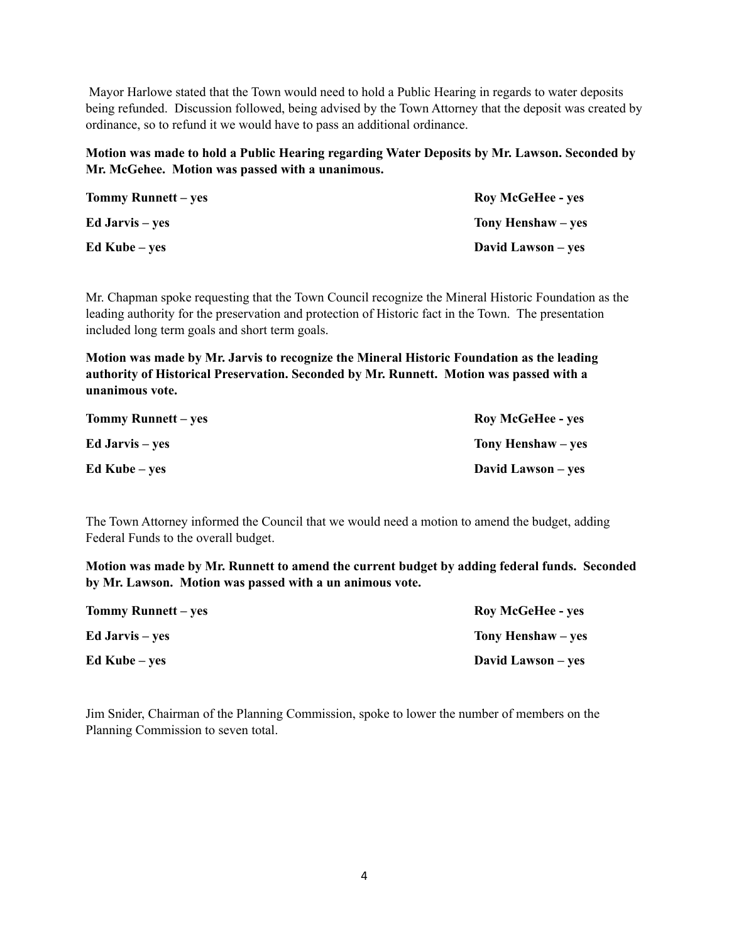Mayor Harlowe stated that the Town would need to hold a Public Hearing in regards to water deposits being refunded. Discussion followed, being advised by the Town Attorney that the deposit was created by ordinance, so to refund it we would have to pass an additional ordinance.

**Motion was made to hold a Public Hearing regarding Water Deposits by Mr. Lawson. Seconded by Mr. McGehee. Motion was passed with a unanimous.**

| <b>Tommy Runnett</b> – yes | <b>Roy McGeHee - yes</b> |
|----------------------------|--------------------------|
| <b>Ed Jarvis</b> – yes     | Tony Henshaw – yes       |
| Ed Kube – yes              | David Lawson – yes       |

Mr. Chapman spoke requesting that the Town Council recognize the Mineral Historic Foundation as the leading authority for the preservation and protection of Historic fact in the Town. The presentation included long term goals and short term goals.

**Motion was made by Mr. Jarvis to recognize the Mineral Historic Foundation as the leading authority of Historical Preservation. Seconded by Mr. Runnett. Motion was passed with a unanimous vote.** 

| Tommy Runnett – yes    | <b>Roy McGeHee - yes</b>  |
|------------------------|---------------------------|
| <b>Ed Jarvis</b> – yes | Tony Henshaw – yes        |
| Ed Kube – yes          | <b>David Lawson</b> – yes |

The Town Attorney informed the Council that we would need a motion to amend the budget, adding Federal Funds to the overall budget.

**Motion was made by Mr. Runnett to amend the current budget by adding federal funds. Seconded by Mr. Lawson. Motion was passed with a un animous vote.**

| Tommy Runnett – yes    | <b>Roy McGeHee - yes</b>  |
|------------------------|---------------------------|
| <b>Ed Jarvis</b> – yes | Tony Henshaw – yes        |
| Ed Kube – yes          | <b>David Lawson</b> – yes |

Jim Snider, Chairman of the Planning Commission, spoke to lower the number of members on the Planning Commission to seven total.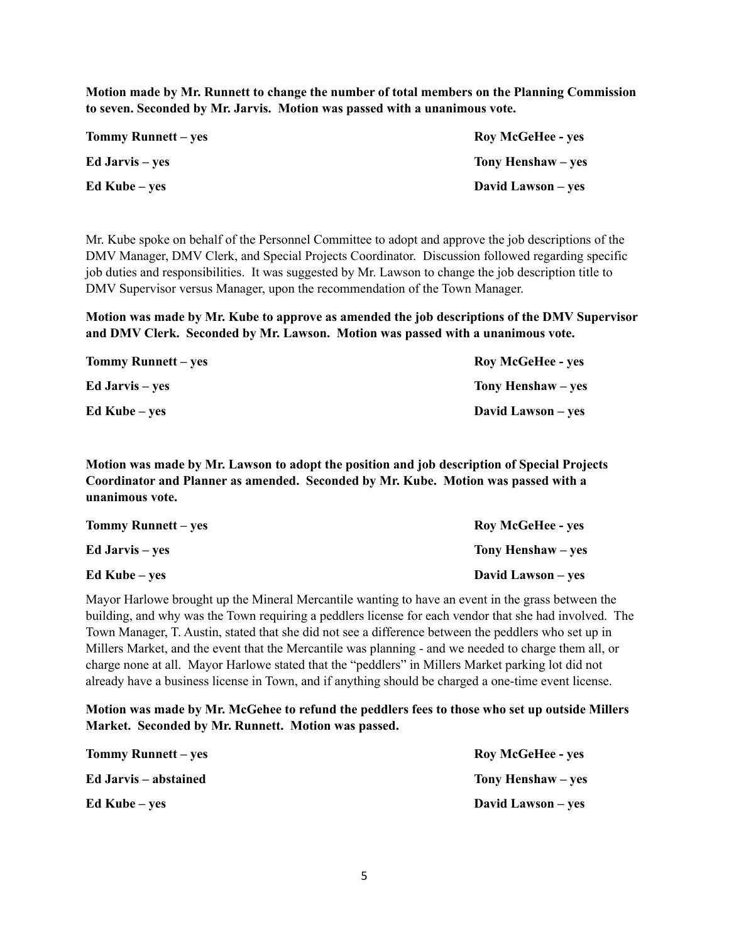**Motion made by Mr. Runnett to change the number of total members on the Planning Commission to seven. Seconded by Mr. Jarvis. Motion was passed with a unanimous vote.**

| <b>Tommy Runnett</b> – yes | <b>Roy McGeHee - yes</b> |
|----------------------------|--------------------------|
| <b>Ed Jarvis</b> – yes     | Tony Henshaw – yes       |
| Ed Kube – yes              | David Lawson – yes       |

Mr. Kube spoke on behalf of the Personnel Committee to adopt and approve the job descriptions of the DMV Manager, DMV Clerk, and Special Projects Coordinator. Discussion followed regarding specific job duties and responsibilities. It was suggested by Mr. Lawson to change the job description title to DMV Supervisor versus Manager, upon the recommendation of the Town Manager.

**Motion was made by Mr. Kube to approve as amended the job descriptions of the DMV Supervisor and DMV Clerk. Seconded by Mr. Lawson. Motion was passed with a unanimous vote.**

| <b>Tommy Runnett</b> – yes | <b>Roy McGeHee - yes</b> |
|----------------------------|--------------------------|
| <b>Ed Jarvis</b> – yes     | Tony Henshaw – ves       |
| Ed Kube – yes              | David Lawson – yes       |

**Motion was made by Mr. Lawson to adopt the position and job description of Special Projects Coordinator and Planner as amended. Seconded by Mr. Kube. Motion was passed with a unanimous vote.** 

| <b>Tommy Runnett</b> – yes | <b>Roy McGeHee - yes</b> |
|----------------------------|--------------------------|
| <b>Ed Jarvis</b> – yes     | Tony Henshaw – yes       |
| Ed Kube – yes              | David Lawson – yes       |

Mayor Harlowe brought up the Mineral Mercantile wanting to have an event in the grass between the building, and why was the Town requiring a peddlers license for each vendor that she had involved. The Town Manager, T. Austin, stated that she did not see a difference between the peddlers who set up in Millers Market, and the event that the Mercantile was planning - and we needed to charge them all, or charge none at all. Mayor Harlowe stated that the "peddlers" in Millers Market parking lot did not already have a business license in Town, and if anything should be charged a one-time event license.

**Motion was made by Mr. McGehee to refund the peddlers fees to those who set up outside Millers Market. Seconded by Mr. Runnett. Motion was passed.**

| <b>Tommy Runnett</b> – yes | <b>Roy McGeHee - yes</b> |
|----------------------------|--------------------------|
| Ed Jarvis – abstained      | Tony Henshaw – yes       |
| $Ed$ Kube – yes            | David Lawson – yes       |